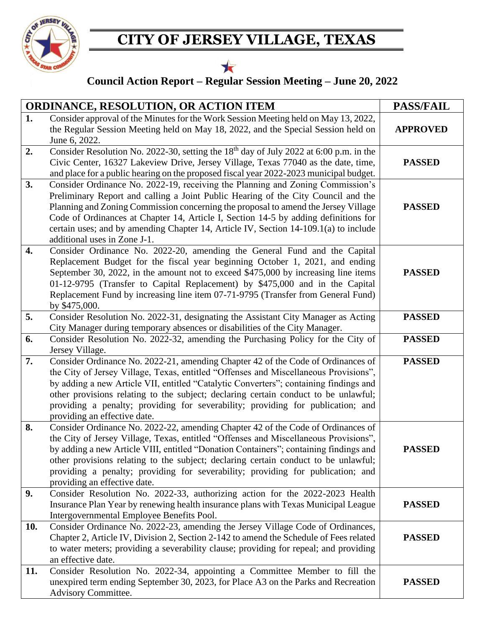

## **CITY OF JERSEY VILLAGE, TEXAS**



## **Council Action Report – Regular Session Meeting – June 20, 2022**

| <b>ORDINANCE, RESOLUTION, OR ACTION ITEM</b> |                                                                                                                                                                                                                                                                                                                                                                                                                                                                             | <b>PASS/FAIL</b> |
|----------------------------------------------|-----------------------------------------------------------------------------------------------------------------------------------------------------------------------------------------------------------------------------------------------------------------------------------------------------------------------------------------------------------------------------------------------------------------------------------------------------------------------------|------------------|
| 1.                                           | Consider approval of the Minutes for the Work Session Meeting held on May 13, 2022,<br>the Regular Session Meeting held on May 18, 2022, and the Special Session held on<br>June 6, 2022.                                                                                                                                                                                                                                                                                   | <b>APPROVED</b>  |
| 2.                                           | Consider Resolution No. 2022-30, setting the 18 <sup>th</sup> day of July 2022 at 6:00 p.m. in the<br>Civic Center, 16327 Lakeview Drive, Jersey Village, Texas 77040 as the date, time,<br>and place for a public hearing on the proposed fiscal year 2022-2023 municipal budget.                                                                                                                                                                                          | <b>PASSED</b>    |
| 3.                                           | Consider Ordinance No. 2022-19, receiving the Planning and Zoning Commission's<br>Preliminary Report and calling a Joint Public Hearing of the City Council and the<br>Planning and Zoning Commission concerning the proposal to amend the Jersey Village<br>Code of Ordinances at Chapter 14, Article I, Section 14-5 by adding definitions for<br>certain uses; and by amending Chapter 14, Article IV, Section 14-109.1(a) to include<br>additional uses in Zone J-1.    | <b>PASSED</b>    |
| 4.                                           | Consider Ordinance No. 2022-20, amending the General Fund and the Capital<br>Replacement Budget for the fiscal year beginning October 1, 2021, and ending<br>September 30, 2022, in the amount not to exceed \$475,000 by increasing line items<br>01-12-9795 (Transfer to Capital Replacement) by \$475,000 and in the Capital<br>Replacement Fund by increasing line item 07-71-9795 (Transfer from General Fund)<br>by \$475,000.                                        | <b>PASSED</b>    |
| 5.                                           | Consider Resolution No. 2022-31, designating the Assistant City Manager as Acting<br>City Manager during temporary absences or disabilities of the City Manager.                                                                                                                                                                                                                                                                                                            | <b>PASSED</b>    |
| 6.                                           | Consider Resolution No. 2022-32, amending the Purchasing Policy for the City of<br>Jersey Village.                                                                                                                                                                                                                                                                                                                                                                          | <b>PASSED</b>    |
| 7.                                           | Consider Ordinance No. 2022-21, amending Chapter 42 of the Code of Ordinances of<br>the City of Jersey Village, Texas, entitled "Offenses and Miscellaneous Provisions",<br>by adding a new Article VII, entitled "Catalytic Converters"; containing findings and<br>other provisions relating to the subject; declaring certain conduct to be unlawful;<br>providing a penalty; providing for severability; providing for publication; and<br>providing an effective date. | <b>PASSED</b>    |
| 8.                                           | Consider Ordinance No. 2022-22, amending Chapter 42 of the Code of Ordinances of<br>the City of Jersey Village, Texas, entitled "Offenses and Miscellaneous Provisions",<br>by adding a new Article VIII, entitled "Donation Containers"; containing findings and<br>other provisions relating to the subject; declaring certain conduct to be unlawful;<br>providing a penalty; providing for severability; providing for publication; and<br>providing an effective date. | <b>PASSED</b>    |
| 9.                                           | Consider Resolution No. 2022-33, authorizing action for the 2022-2023 Health<br>Insurance Plan Year by renewing health insurance plans with Texas Municipal League<br>Intergovernmental Employee Benefits Pool.                                                                                                                                                                                                                                                             | <b>PASSED</b>    |
| 10.                                          | Consider Ordinance No. 2022-23, amending the Jersey Village Code of Ordinances,<br>Chapter 2, Article IV, Division 2, Section 2-142 to amend the Schedule of Fees related<br>to water meters; providing a severability clause; providing for repeal; and providing<br>an effective date.                                                                                                                                                                                    | <b>PASSED</b>    |
| 11.                                          | Consider Resolution No. 2022-34, appointing a Committee Member to fill the<br>unexpired term ending September 30, 2023, for Place A3 on the Parks and Recreation<br>Advisory Committee.                                                                                                                                                                                                                                                                                     | <b>PASSED</b>    |